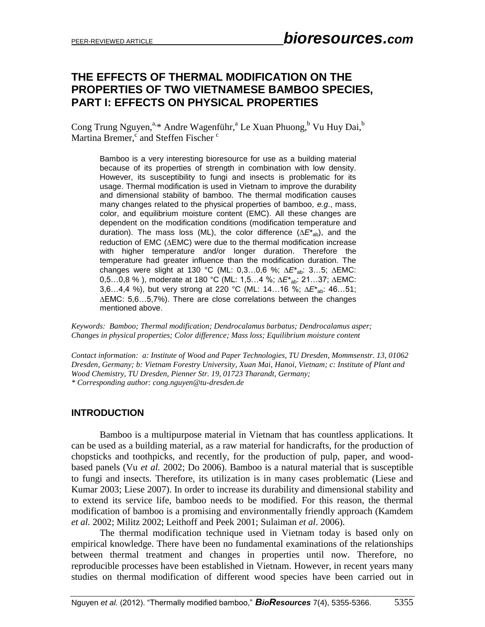# **THE EFFECTS OF THERMAL MODIFICATION ON THE PROPERTIES OF TWO VIETNAMESE BAMBOO SPECIES, PART I: EFFECTS ON PHYSICAL PROPERTIES**

Cong Trung Nguyen,<sup>a,\*</sup> Andre Wagenführ,<sup>a</sup> Le Xuan Phuong,<sup>b</sup> Vu Huy Dai,<sup>b</sup> Martina Bremer,<sup>c</sup> and Steffen Fischer<sup>c</sup>

Bamboo is a very interesting bioresource for use as a building material because of its properties of strength in combination with low density. However, its susceptibility to fungi and insects is problematic for its usage. Thermal modification is used in Vietnam to improve the durability and dimensional stability of bamboo. The thermal modification causes many changes related to the physical properties of bamboo, *e.g*., mass, color, and equilibrium moisture content (EMC). All these changes are dependent on the modification conditions (modification temperature and duration). The mass loss (ML), the color difference  $(\Delta E_{ab}^*)$ , and the reduction of EMC ( $\triangle$ EMC) were due to the thermal modification increase with higher temperature and/or longer duration. Therefore the temperature had greater influence than the modification duration. The changes were slight at 130 °C (ML: 0,3...0,6 %; ΔE<sup>\*</sup>ab: 3...5; ΔEMC: 0,5...0,8 %), moderate at 180 °C (ML: 1,5...4 %; ∆E<sup>\*</sup><sub>ab</sub>: 21...37; ∆EMC: 3,6...4,4 %), but very strong at 220 °C (ML: 14...16 %; ∆E\*<sub>ab</sub>: 46...51;  $\triangle$ EMC: 5,6...5,7%). There are close correlations between the changes mentioned above.

*Keywords: Bamboo; Thermal modification; Dendrocalamus barbatus; Dendrocalamus asper; Changes in physical properties; Color difference; Mass loss; Equilibrium moisture content*

*Contact information: a: Institute of Wood and Paper Technologies, TU Dresden, Mommsenstr. 13, 01062 Dresden, Germany; b: Vietnam Forestry University, Xuan Mai, Hanoi, Vietnam; c: Institute of Plant and Wood Chemistry, TU Dresden, Pienner Str. 19, 01723 Tharandt, Germany; \* Corresponding author: cong.nguyen@tu-dresden.de*

#### **INTRODUCTION**

Bamboo is a multipurpose material in Vietnam that has countless applications. It can be used as a building material, as a raw material for handicrafts, for the production of chopsticks and toothpicks, and recently, for the production of pulp, paper, and woodbased panels (Vu *et al.* 2002; Do 2006). Bamboo is a natural material that is susceptible to fungi and insects. Therefore, its utilization is in many cases problematic (Liese and Kumar 2003; Liese 2007). In order to increase its durability and dimensional stability and to extend its service life, bamboo needs to be modified. For this reason, the thermal modification of bamboo is a promising and environmentally friendly approach (Kamdem *et al.* 2002; Militz 2002; Leithoff and Peek 2001; Sulaiman *et al*. 2006).

The thermal modification technique used in Vietnam today is based only on empirical knowledge. There have been no fundamental examinations of the relationships between thermal treatment and changes in properties until now. Therefore, no reproducible processes have been established in Vietnam. However, in recent years many studies on thermal modification of different wood species have been carried out in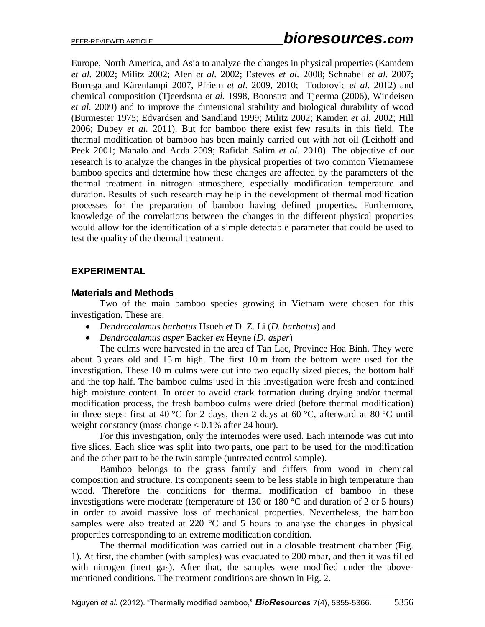Europe, North America, and Asia to analyze the changes in physical properties (Kamdem *et al.* 2002; Militz 2002; Alen *et al.* 2002; Esteves *et al.* 2008; Schnabel *et al.* 2007; Borrega and Kärenlampi 2007, Pfriem *et al*. 2009, 2010; Todorovic *et al.* 2012) and chemical composition (Tjeerdsma *et al.* 1998, Boonstra and Tjeerma (2006), Windeisen *et al.* 2009) and to improve the dimensional stability and biological durability of wood (Burmester 1975; Edvardsen and Sandland 1999; Militz 2002; Kamden *et al.* 2002; Hill 2006; Dubey *et al.* 2011). But for bamboo there exist few results in this field. The thermal modification of bamboo has been mainly carried out with hot oil (Leithoff and Peek 2001; Manalo and Acda 2009; Rafidah Salim *et al.* 2010). The objective of our research is to analyze the changes in the physical properties of two common Vietnamese bamboo species and determine how these changes are affected by the parameters of the thermal treatment in nitrogen atmosphere, especially modification temperature and duration. Results of such research may help in the development of thermal modification processes for the preparation of bamboo having defined properties. Furthermore, knowledge of the correlations between the changes in the different physical properties would allow for the identification of a simple detectable parameter that could be used to test the quality of the thermal treatment.

## **EXPERIMENTAL**

#### **Materials and Methods**

Two of the main bamboo species growing in Vietnam were chosen for this investigation. These are:

- *Dendrocalamus barbatus* Hsueh *et* D. Z. Li (*D. barbatus*) and
- *Dendrocalamus asper* Backer *ex* Heyne (*D. asper*)

The culms were harvested in the area of Tan Lac, Province Hoa Binh. They were about 3 years old and 15 m high. The first 10 m from the bottom were used for the investigation. These 10 m culms were cut into two equally sized pieces, the bottom half and the top half. The bamboo culms used in this investigation were fresh and contained high moisture content. In order to avoid crack formation during drying and/or thermal modification process, the fresh bamboo culms were dried (before thermal modification) in three steps: first at 40 °C for 2 days, then 2 days at 60 °C, afterward at 80 °C until weight constancy (mass change  $< 0.1\%$  after 24 hour).

For this investigation, only the internodes were used. Each internode was cut into five slices. Each slice was split into two parts, one part to be used for the modification and the other part to be the twin sample (untreated control sample).

Bamboo belongs to the grass family and differs from wood in chemical composition and structure. Its components seem to be less stable in high temperature than wood. Therefore the conditions for thermal modification of bamboo in these investigations were moderate (temperature of 130 or 180 °C and duration of 2 or 5 hours) in order to avoid massive loss of mechanical properties. Nevertheless, the bamboo samples were also treated at 220  $\degree$ C and 5 hours to analyse the changes in physical properties corresponding to an extreme modification condition.

The thermal modification was carried out in a closable treatment chamber (Fig. 1). At first, the chamber (with samples) was evacuated to 200 mbar, and then it was filled with nitrogen (inert gas). After that, the samples were modified under the abovementioned conditions. The treatment conditions are shown in Fig. 2.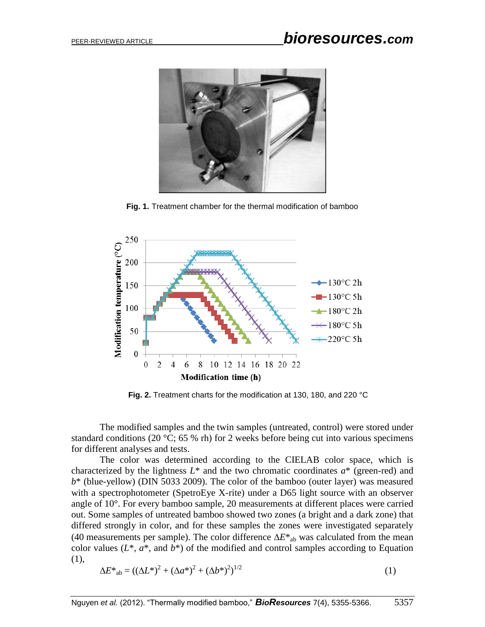

**Fig. 1.** Treatment chamber for the thermal modification of bamboo



**Fig. 2.** Treatment charts for the modification at 130, 180, and 220 °C

The modified samples and the twin samples (untreated, control) were stored under standard conditions (20  $\textdegree$ C; 65 % rh) for 2 weeks before being cut into various specimens for different analyses and tests.

The color was determined according to the CIELAB color space, which is characterized by the lightness  $L^*$  and the two chromatic coordinates  $a^*$  (green-red) and *b*\* (blue-yellow) (DIN 5033 2009). The color of the bamboo (outer layer) was measured with a spectrophotometer (SpetroEye X-rite) under a D65 light source with an observer angle of 10°. For every bamboo sample, 20 measurements at different places were carried out. Some samples of untreated bamboo showed two zones (a bright and a dark zone) that differed strongly in color, and for these samples the zones were investigated separately (40 measurements per sample). The color difference  $\Delta E^*$ <sub>ab</sub> was calculated from the mean color values  $(L^*, a^*,$  and  $b^*)$  of the modified and control samples according to Equation (1),

$$
\Delta E^*_{ab} = ((\Delta L^*)^2 + (\Delta a^*)^2 + (\Delta b^*)^2)^{1/2}
$$
 (1)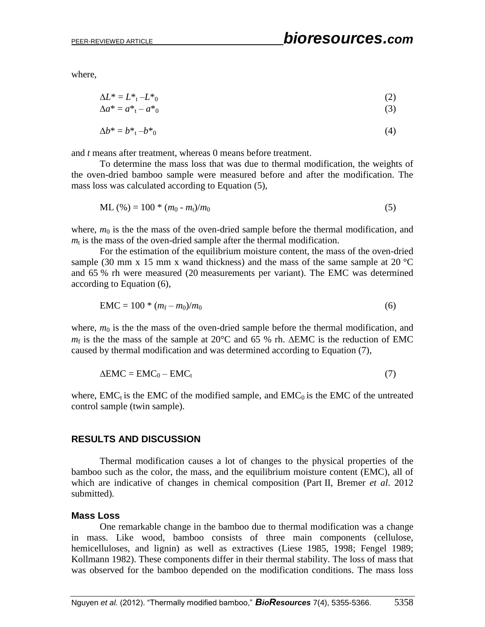where,

$$
\Delta L^* = L^*_{t} - L^*_{0} \tag{2}
$$

$$
\Delta a^* = a^* - a^* \tag{3}
$$

$$
\Delta b^* = b^* \cdot b^* \tag{4}
$$

and *t* means after treatment, whereas 0 means before treatment.

To determine the mass loss that was due to thermal modification, the weights of the oven-dried bamboo sample were measured before and after the modification. The mass loss was calculated according to Equation (5),

 $ML (%) = 100 * (m_0 - m_t)/m_0$  (5)

where,  $m_0$  is the the mass of the oven-dried sample before the thermal modification, and  $m<sub>t</sub>$  is the mass of the oven-dried sample after the thermal modification.

For the estimation of the equilibrium moisture content, the mass of the oven-dried sample (30 mm x 15 mm x wand thickness) and the mass of the same sample at 20  $^{\circ}$ C and 65 % rh were measured (20 measurements per variant). The EMC was determined according to Equation (6),

$$
EMC = 100 * (m_f - m_0)/m_0
$$
 (6)

where,  $m_0$  is the the mass of the oven-dried sample before the thermal modification, and  $m_f$  is the the mass of the sample at 20 $\degree$ C and 65 % rh.  $\triangle$ EMC is the reduction of EMC caused by thermal modification and was determined according to Equation (7),

$$
\Delta \text{EMC} = \text{EMC}_0 - \text{EMC}_t \tag{7}
$$

where,  $EMC<sub>t</sub>$  is the EMC of the modified sample, and EMC<sub>0</sub> is the EMC of the untreated control sample (twin sample).

#### **RESULTS AND DISCUSSION**

Thermal modification causes a lot of changes to the physical properties of the bamboo such as the color, the mass, and the equilibrium moisture content (EMC), all of which are indicative of changes in chemical composition (Part II, Bremer *et al*. 2012 submitted).

#### **Mass Loss**

One remarkable change in the bamboo due to thermal modification was a change in mass. Like wood, bamboo consists of three main components (cellulose, hemicelluloses, and lignin) as well as extractives (Liese 1985, 1998; Fengel 1989; Kollmann 1982). These components differ in their thermal stability. The loss of mass that was observed for the bamboo depended on the modification conditions. The mass loss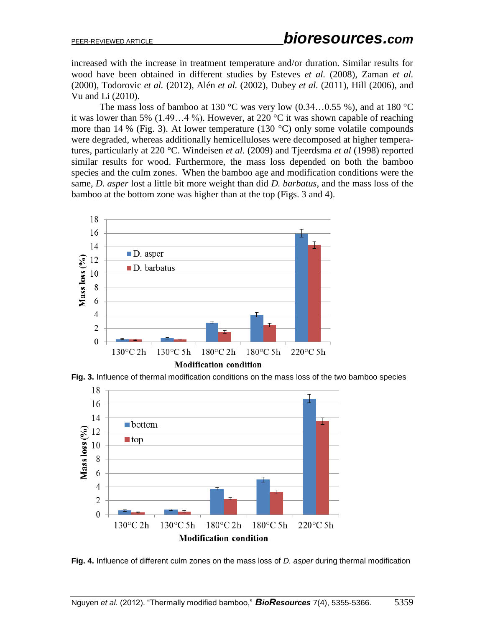increased with the increase in treatment temperature and/or duration. Similar results for wood have been obtained in different studies by Esteves *et al.* (2008), Zaman *et al.* (2000), Todorovic *et al.* (2012), Alén *et al.* (2002), Dubey *et al.* (2011), Hill (2006), and Vu and Li (2010).

The mass loss of bamboo at 130 °C was very low  $(0.34...0.55\%)$ , and at 180 °C it was lower than 5% (1.49...4 %). However, at 220  $^{\circ}$ C it was shown capable of reaching more than 14 % (Fig. 3). At lower temperature (130 °C) only some volatile compounds were degraded, whereas additionally hemicelluloses were decomposed at higher temperatures, particularly at 220 °C. Windeisen *et al.* (2009) and Tjeerdsma *et al* (1998) reported similar results for wood. Furthermore, the mass loss depended on both the bamboo species and the culm zones. When the bamboo age and modification conditions were the same, *D. asper* lost a little bit more weight than did *D. barbatus*, and the mass loss of the bamboo at the bottom zone was higher than at the top (Figs. 3 and 4).



**Fig. 3.** Influence of thermal modification conditions on the mass loss of the two bamboo species



**Fig. 4.** Influence of different culm zones on the mass loss of *D. asper* during thermal modification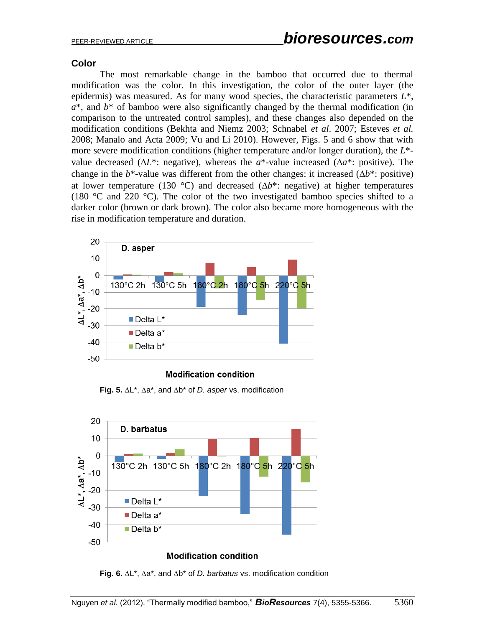## **Color**

The most remarkable change in the bamboo that occurred due to thermal modification was the color. In this investigation, the color of the outer layer (the epidermis) was measured. As for many wood species, the characteristic parameters *L*\*, *a*\*, and *b*\* of bamboo were also significantly changed by the thermal modification (in comparison to the untreated control samples), and these changes also depended on the modification conditions (Bekhta and Niemz 2003; Schnabel *et al*. 2007; Esteves *et al.* 2008; Manalo and Acta 2009; Vu and Li 2010). However, Figs. 5 and 6 show that with more severe modification conditions (higher temperature and/or longer duration), the *L*\* value decreased ( $\Delta L^*$ : negative), whereas the *a*<sup>\*</sup>-value increased ( $\Delta a^*$ : positive). The change in the  $b^*$ -value was different from the other changes: it increased ( $\Delta b^*$ : positive) at lower temperature (130 °C) and decreased ( $\Delta b^*$ : negative) at higher temperatures (180 °C and 220 °C). The color of the two investigated bamboo species shifted to a darker color (brown or dark brown). The color also became more homogeneous with the rise in modification temperature and duration.



#### **Modification condition**

**Fig. 5.**  $\Delta L^*$ ,  $\Delta a^*$ , and  $\Delta b^*$  of *D. asper* vs. modification



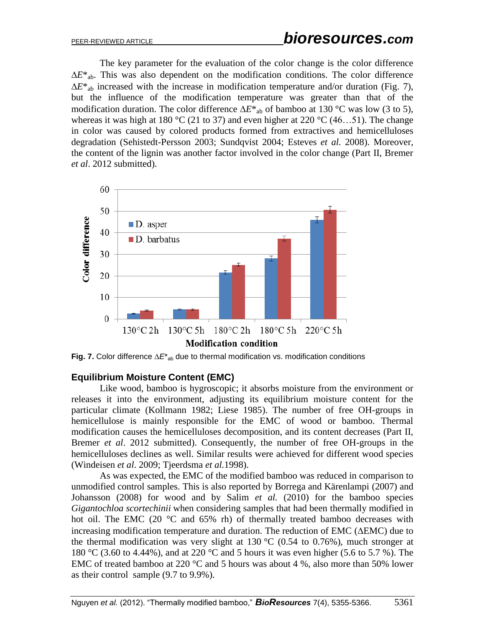The key parameter for the evaluation of the color change is the color difference  $\Delta E^*$ <sub>ab</sub>. This was also dependent on the modification conditions. The color difference  $\Delta E^*$ <sub>ab</sub> increased with the increase in modification temperature and/or duration (Fig. 7), but the influence of the modification temperature was greater than that of the modification duration. The color difference  $\Delta E^*$ <sub>ab</sub> of bamboo at 130 °C was low (3 to 5), whereas it was high at 180 °C (21 to 37) and even higher at 220 °C (46...51). The change in color was caused by colored products formed from extractives and hemicelluloses degradation (Sehistedt-Persson 2003; Sundqvist 2004; Esteves *et al.* 2008). Moreover, the content of the lignin was another factor involved in the color change (Part II, Bremer *et al*. 2012 submitted).



**Fig. 7.** Color difference  $\Delta E^*_{ab}$  due to thermal modification vs. modification conditions

#### **Equilibrium Moisture Content (EMC)**

Like wood, bamboo is hygroscopic; it absorbs moisture from the environment or releases it into the environment, adjusting its equilibrium moisture content for the particular climate (Kollmann 1982; Liese 1985). The number of free OH-groups in hemicellulose is mainly responsible for the EMC of wood or bamboo. Thermal modification causes the hemicelluloses decomposition, and its content decreases (Part II, Bremer *et al*. 2012 submitted). Consequently, the number of free OH-groups in the hemicelluloses declines as well. Similar results were achieved for different wood species (Windeisen *et al*. 2009; Tjeerdsma *et al.*1998).

As was expected, the EMC of the modified bamboo was reduced in comparison to unmodified control samples. This is also reported by Borrega and Kärenlampi (2007) and Johansson (2008) for wood and by Salim *et al.* (2010) for the bamboo species *Gigantochloa scortechinii* when considering samples that had been thermally modified in hot oil. The EMC (20 $\degree$ C and 65% rh) of thermally treated bamboo decreases with increasing modification temperature and duration. The reduction of EMC ( $\triangle$ EMC) due to the thermal modification was very slight at  $130\text{ °C}$  (0.54 to 0.76%), much stronger at 180 °C (3.60 to 4.44%), and at 220 °C and 5 hours it was even higher (5.6 to 5.7 %). The EMC of treated bamboo at 220 °C and 5 hours was about 4 %, also more than 50% lower as their control sample (9.7 to 9.9%).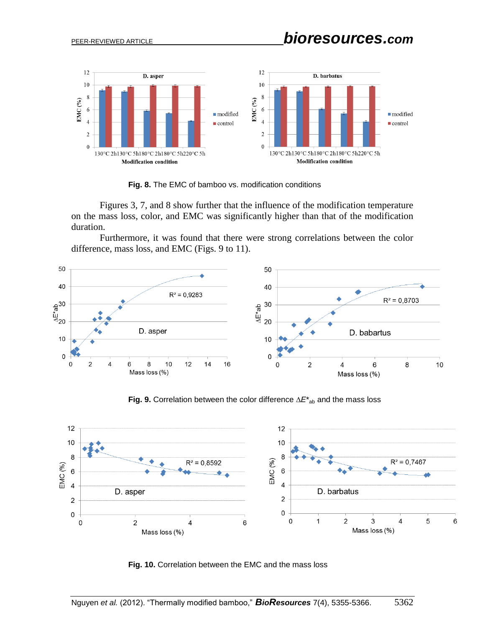

**Fig. 8.** The EMC of bamboo vs. modification conditions

Figures 3, 7, and 8 show further that the influence of the modification temperature on the mass loss, color, and EMC was significantly higher than that of the modification duration.

Furthermore, it was found that there were strong correlations between the color difference, mass loss, and EMC (Figs. 9 to 11).



**Fig. 9.** Correlation between the color difference  $\Delta E^*_{ab}$  and the mass loss



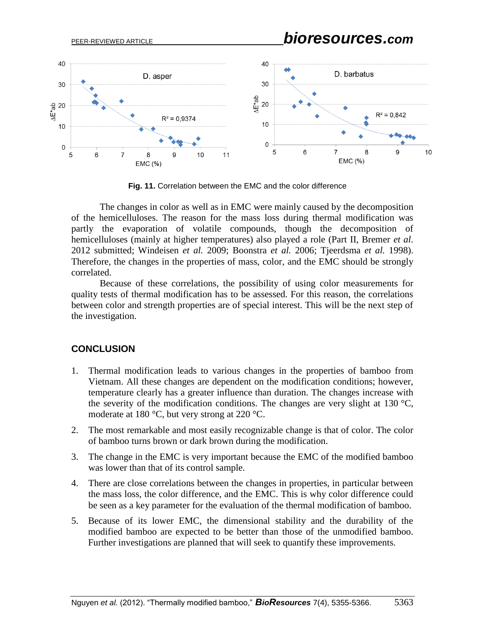

**Fig. 11.** Correlation between the EMC and the color difference

The changes in color as well as in EMC were mainly caused by the decomposition of the hemicelluloses. The reason for the mass loss during thermal modification was partly the evaporation of volatile compounds, though the decomposition of hemicelluloses (mainly at higher temperatures) also played a role (Part II, Bremer *et al*. 2012 submitted; Windeisen *et al.* 2009; Boonstra *et al.* 2006; Tjeerdsma *et al.* 1998). Therefore, the changes in the properties of mass, color, and the EMC should be strongly correlated.

Because of these correlations, the possibility of using color measurements for quality tests of thermal modification has to be assessed. For this reason, the correlations between color and strength properties are of special interest. This will be the next step of the investigation.

#### **CONCLUSION**

- 1. Thermal modification leads to various changes in the properties of bamboo from Vietnam. All these changes are dependent on the modification conditions; however, temperature clearly has a greater influence than duration. The changes increase with the severity of the modification conditions. The changes are very slight at 130  $^{\circ}$ C, moderate at 180 °C, but very strong at 220 °C.
- 2. The most remarkable and most easily recognizable change is that of color. The color of bamboo turns brown or dark brown during the modification.
- 3. The change in the EMC is very important because the EMC of the modified bamboo was lower than that of its control sample.
- 4. There are close correlations between the changes in properties, in particular between the mass loss, the color difference, and the EMC. This is why color difference could be seen as a key parameter for the evaluation of the thermal modification of bamboo.
- 5. Because of its lower EMC, the dimensional stability and the durability of the modified bamboo are expected to be better than those of the unmodified bamboo. Further investigations are planned that will seek to quantify these improvements.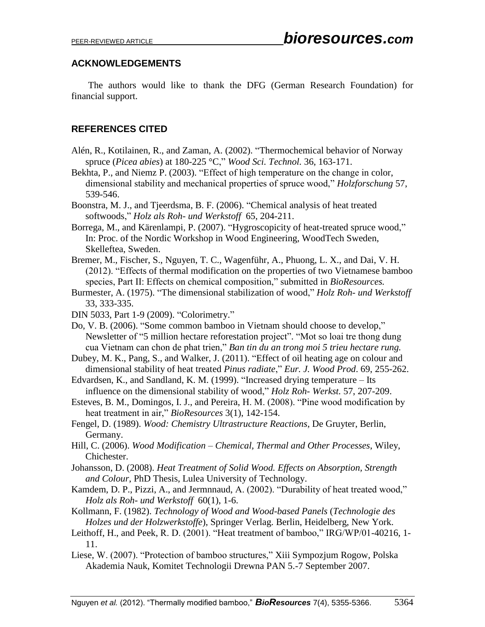## **ACKNOWLEDGEMENTS**

The authors would like to thank the DFG (German Research Foundation) for financial support.

# **REFERENCES CITED**

- Alén, R., Kotilainen, R., and Zaman, A. (2002). "Thermochemical behavior of Norway spruce (*Picea abies*) at 180-225 °C," *Wood Sci. Technol.* 36, 163-171.
- Bekhta, P., and Niemz P. (2003). "Effect of high temperature on the change in color, dimensional stability and mechanical properties of spruce wood," *Holzforschung* 57, 539-546.
- Boonstra, M. J., and Tjeerdsma, B. F. (2006). "Chemical analysis of heat treated softwoods," *Holz als Roh- und Werkstoff* 65, 204-211.
- Borrega, M., and Kärenlampi, P. (2007). "Hygroscopicity of heat-treated spruce wood," In: Proc. of the Nordic Workshop in Wood Engineering, WoodTech Sweden, Skelleftea, Sweden.
- Bremer, M., Fischer, S., Nguyen, T. C., Wagenführ, A., Phuong, L. X., and Dai, V. H. (2012). "Effects of thermal modification on the properties of two Vietnamese bamboo species, Part II: Effects on chemical composition," submitted in *BioResources.*
- Burmester, A. (1975). "The dimensional stabilization of wood," *Holz Roh- und Werkstoff* 33, 333-335.
- DIN 5033, Part 1-9 (2009). "Colorimetry."
- Do, V. B. (2006). "Some common bamboo in Vietnam should choose to develop," Newsletter of "5 million hectare reforestation project". "Mot so loai tre thong dung cua Vietnam can chon de phat trien," *Ban tin du an trong moi 5 trieu hectare rung.*
- Dubey, M. K., Pang, S., and Walker, J. (2011). "Effect of oil heating age on colour and dimensional stability of heat treated *Pinus radiate*," *Eur. J. Wood Prod*. 69, 255-262.
- Edvardsen, K., and Sandland, K. M. (1999). "Increased drying temperature Its influence on the dimensional stability of wood," *Holz Roh- Werkst.* 57, 207-209.
- Esteves, B. M., Domingos, I. J., and Pereira, H. M. (2008). "Pine wood modification by heat treatment in air," *BioResources* 3(1), 142-154.
- Fengel, D. (1989). *Wood: Chemistry Ultrastructure Reactions*, De Gruyter, Berlin, Germany.
- Hill, C. (2006). *Wood Modification – Chemical, Thermal and Other Processes*, Wiley, Chichester.
- Johansson, D. (2008). *Heat Treatment of Solid Wood. Effects on Absorption, Strength and Colour*, PhD Thesis, Lulea University of Technology.
- Kamdem, D. P., Pizzi, A., and Jermnnaud, A. (2002). "Durability of heat treated wood," *Holz als Roh- und Werkstoff* 60(1), 1-6.
- Kollmann, F. (1982). *Technology of Wood and Wood-based Panels* (*Technologie des Holzes und der Holzwerkstoffe*), Springer Verlag. Berlin, Heidelberg, New York.
- Leithoff, H., and Peek, R. D. (2001). "Heat treatment of bamboo," IRG/WP/01-40216, 1- 11.

Liese, W. (2007). "Protection of bamboo structures," Xiii Sympozjum Rogow, Polska Akademia Nauk, Komitet Technologii Drewna PAN 5.-7 September 2007.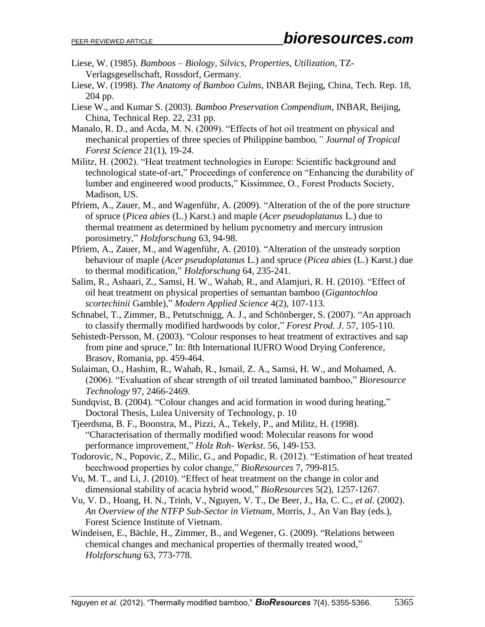- Liese, W. (1985). *Bamboos – Biology, Silvics, Properties, Utilization*, TZ-Verlagsgesellschaft, Rossdorf, Germany.
- Liese, W. (1998). *The Anatomy of Bamboo Culms*, INBAR Bejing, China, Tech. Rep. 18, 204 pp.
- Liese W., and Kumar S. (2003). *Bamboo Preservation Compendium*, INBAR, Beijing, China, Technical Rep. 22, 231 pp.
- Manalo, R. D., and Acda, M. N. (2009). "Effects of hot oil treatment on physical and mechanical properties of three species of Philippine bamboo*," Journal of Tropical Forest Science* 21(1), 19-24.
- Militz, H. (2002). "Heat treatment technologies in Europe: Scientific background and technological state-of-art," Proceedings of conference on "Enhancing the durability of lumber and engineered wood products," Kissimmee, O., Forest Products Society, Madison, US.
- Pfriem, A., Zauer, M., and Wagenführ, A. (2009). "Alteration of the of the pore structure of spruce (*Picea abies* (L.) Karst.) and maple (*Acer pseudoplatanus* L.) due to thermal treatment as determined by helium pycnometry and mercury intrusion porosimetry," *Holzforschung* 63, 94-98.
- Pfriem, A., Zauer, M., and Wagenführ, A. (2010). "Alteration of the unsteady sorption behaviour of maple (*Acer pseudoplatanus* L.) and spruce (*Picea abies* (L.) Karst.) due to thermal modification," *Holzforschung* 64, 235-241.
- Salim, R., Ashaari, Z., Samsi, H. W., Wahab, R., and Alamjuri, R. H. (2010). "Effect of oil heat treatment on physical properties of semantan bamboo (*Gigantochloa scortechinii* Gamble)," *Modern Applied Science* 4(2), 107-113.
- Schnabel, T., Zimmer, B., Petutschnigg, A. J., and Schönberger, S. (2007). "An approach to classify thermally modified hardwoods by color," *Forest Prod. J*. 57, 105-110.
- Sehistedt-Persson, M. (2003). "Colour responses to heat treatment of extractives and sap from pine and spruce," In: 8th International IUFRO Wood Drying Conference, Brasov, Romania, pp. 459-464.
- Sulaiman, O., Hashim, R., Wahab, R., Ismail, Z. A., Samsi, H. W., and Mohamed, A. (2006). "Evaluation of shear strength of oil treated laminated bamboo," *Bioresource Technology* 97, 2466-2469.
- Sundqvist, B. (2004). "Colour changes and acid formation in wood during heating," Doctoral Thesis, Lulea University of Technology, p. 10
- Tjeerdsma, B. F., Boonstra, M., Pizzi, A., Tekely, P., and Militz, H. (1998). "Characterisation of thermally modified wood: Molecular reasons for wood performance improvement," *Holz Roh- Werkst*. 56, 149-153.
- Todorovic, N., Popovic, Z., Milic, G., and Popadic, R. (2012). "Estimation of heat treated beechwood properties by color change," *BioResources* 7, 799-815.
- Vu, M. T., and Li, J. (2010). "Effect of heat treatment on the change in color and dimensional stability of acacia hybrid wood," *BioResources* 5(2), 1257-1267.
- Vu, V. D., Hoang, H. N., Trinh, V., Nguyen, V. T., De Beer, J., Ha, C. C., *et al.* (2002). *An Overview of the NTFP Sub-Sector in Vietnam,* Morris, J., An Van Bay (eds.), Forest Science Institute of Vietnam.
- Windeisen, E., Bächle, H., Zimmer, B., and Wegener, G. (2009). "Relations between chemical changes and mechanical properties of thermally treated wood," *Holzforschung* 63, 773-778.